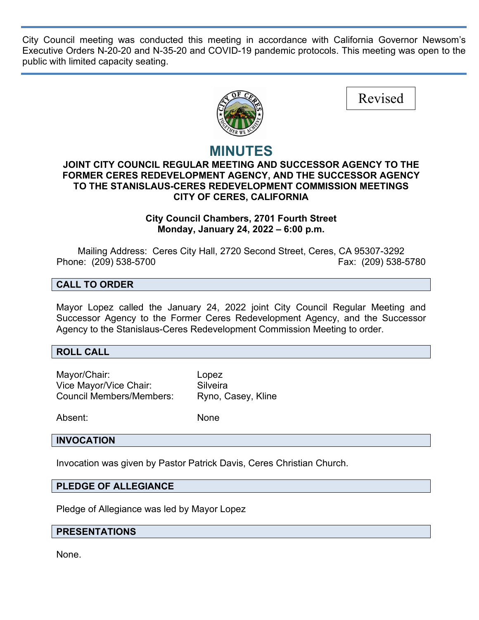City Council meeting was conducted this meeting in accordance with California Governor Newsom's Executive Orders N-20-20 and N-35-20 and COVID-19 pandemic protocols. This meeting was open to the public with limited capacity seating.



# **MINUTES**

### **JOINT CITY COUNCIL REGULAR MEETING AND SUCCESSOR AGENCY TO THE FORMER CERES REDEVELOPMENT AGENCY, AND THE SUCCESSOR AGENCY TO THE STANISLAUS-CERES REDEVELOPMENT COMMISSION MEETINGS CITY OF CERES, CALIFORNIA**

### **City Council Chambers, 2701 Fourth Street Monday, January 24, 2022 – 6:00 p.m.**

Mailing Address: Ceres City Hall, 2720 Second Street, Ceres, CA 95307-3292 Phone: (209) 538-5700 Fax: (209) 538-5780

### **CALL TO ORDER**

Mayor Lopez called the January 24, 2022 joint City Council Regular Meeting and Successor Agency to the Former Ceres Redevelopment Agency, and the Successor Agency to the Stanislaus-Ceres Redevelopment Commission Meeting to order.

#### **ROLL CALL**

Mayor/Chair: Lopez Vice Mayor/Vice Chair: Silveira Council Members/Members: Ryno, Casey, Kline

Absent: None

#### **INVOCATION**

Invocation was given by Pastor Patrick Davis, Ceres Christian Church.

#### **PLEDGE OF ALLEGIANCE**

Pledge of Allegiance was led by Mayor Lopez

#### **PRESENTATIONS**

None.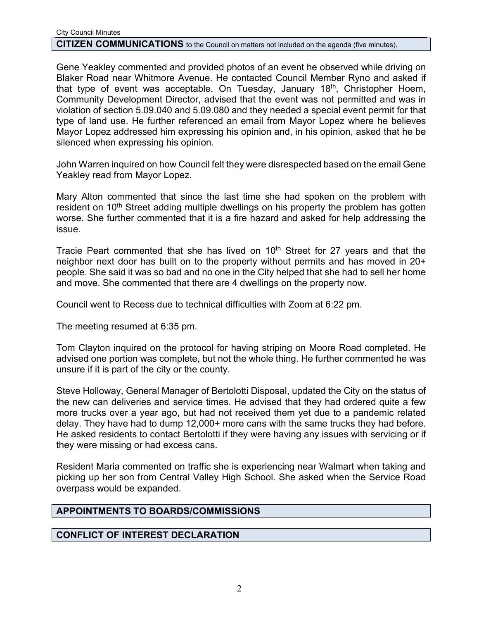#### **CITIZEN COMMUNICATIONS** to the Council on matters not included on the agenda (five minutes).

Gene Yeakley commented and provided photos of an event he observed while driving on Blaker Road near Whitmore Avenue. He contacted Council Member Ryno and asked if that type of event was acceptable. On Tuesday, January 18<sup>th</sup>, Christopher Hoem, Community Development Director, advised that the event was not permitted and was in violation of section 5.09.040 and 5.09.080 and they needed a special event permit for that type of land use. He further referenced an email from Mayor Lopez where he believes Mayor Lopez addressed him expressing his opinion and, in his opinion, asked that he be silenced when expressing his opinion.

John Warren inquired on how Council felt they were disrespected based on the email Gene Yeakley read from Mayor Lopez.

Mary Alton commented that since the last time she had spoken on the problem with resident on 10<sup>th</sup> Street adding multiple dwellings on his property the problem has gotten worse. She further commented that it is a fire hazard and asked for help addressing the issue.

Tracie Peart commented that she has lived on  $10<sup>th</sup>$  Street for 27 years and that the neighbor next door has built on to the property without permits and has moved in 20+ people. She said it was so bad and no one in the City helped that she had to sell her home and move. She commented that there are 4 dwellings on the property now.

Council went to Recess due to technical difficulties with Zoom at 6:22 pm.

The meeting resumed at 6:35 pm.

Tom Clayton inquired on the protocol for having striping on Moore Road completed. He advised one portion was complete, but not the whole thing. He further commented he was unsure if it is part of the city or the county.

Steve Holloway, General Manager of Bertolotti Disposal, updated the City on the status of the new can deliveries and service times. He advised that they had ordered quite a few more trucks over a year ago, but had not received them yet due to a pandemic related delay. They have had to dump 12,000+ more cans with the same trucks they had before. He asked residents to contact Bertolotti if they were having any issues with servicing or if they were missing or had excess cans.

Resident Maria commented on traffic she is experiencing near Walmart when taking and picking up her son from Central Valley High School. She asked when the Service Road overpass would be expanded.

#### **APPOINTMENTS TO BOARDS/COMMISSIONS**

### **CONFLICT OF INTEREST DECLARATION**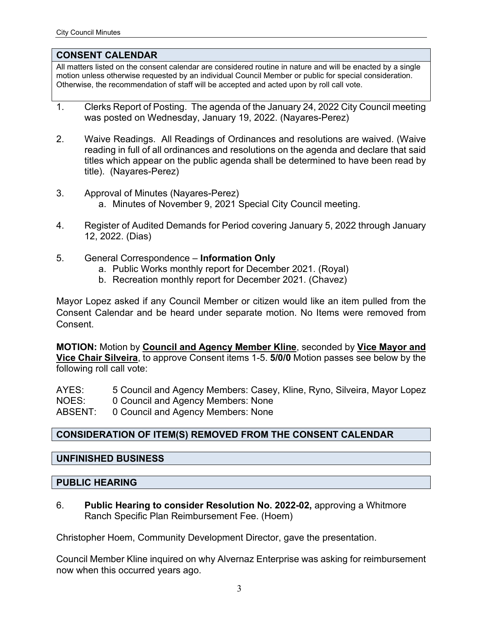#### **CONSENT CALENDAR**

All matters listed on the consent calendar are considered routine in nature and will be enacted by a single motion unless otherwise requested by an individual Council Member or public for special consideration. Otherwise, the recommendation of staff will be accepted and acted upon by roll call vote.

- 1. Clerks Report of Posting. The agenda of the January 24, 2022 City Council meeting was posted on Wednesday, January 19, 2022. (Nayares-Perez)
- 2. Waive Readings. All Readings of Ordinances and resolutions are waived. (Waive reading in full of all ordinances and resolutions on the agenda and declare that said titles which appear on the public agenda shall be determined to have been read by title). (Nayares-Perez)
- 3. Approval of Minutes (Nayares-Perez)
	- a. Minutes of November 9, 2021 Special City Council meeting.
- 4. Register of Audited Demands for Period covering January 5, 2022 through January 12, 2022. (Dias)
- 5. General Correspondence **Information Only**
	- a. Public Works monthly report for December 2021. (Royal)
	- b. Recreation monthly report for December 2021. (Chavez)

Mayor Lopez asked if any Council Member or citizen would like an item pulled from the Consent Calendar and be heard under separate motion. No Items were removed from **Consent** 

**MOTION:** Motion by **Council and Agency Member Kline**, seconded by **Vice Mayor and Vice Chair Silveira**, to approve Consent items 1-5. **5/0/0** Motion passes see below by the following roll call vote:

AYES: 5 Council and Agency Members: Casey, Kline, Ryno, Silveira, Mayor Lopez NOES: 0 Council and Agency Members: None ABSENT: 0 Council and Agency Members: None

# **CONSIDERATION OF ITEM(S) REMOVED FROM THE CONSENT CALENDAR**

# **UNFINISHED BUSINESS**

### **PUBLIC HEARING**

6. **Public Hearing to consider Resolution No. 2022-02,** approving a Whitmore Ranch Specific Plan Reimbursement Fee. (Hoem)

Christopher Hoem, Community Development Director, gave the presentation.

Council Member Kline inquired on why Alvernaz Enterprise was asking for reimbursement now when this occurred years ago.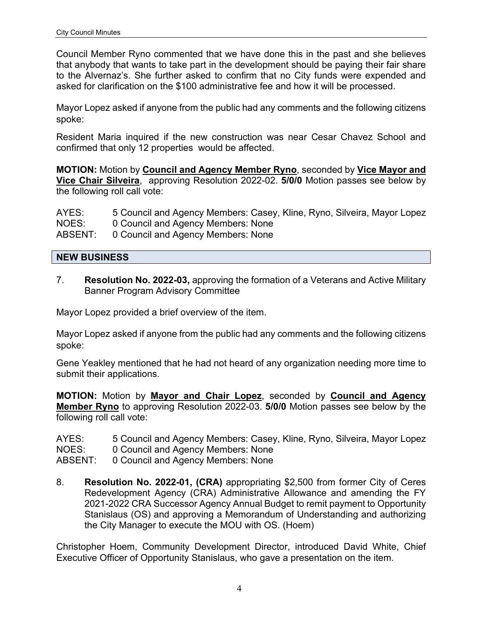Council Member Ryno commented that we have done this in the past and she believes that anybody that wants to take part in the development should be paying their fair share to the Alvernaz's. She further asked to confirm that no City funds were expended and asked for clarification on the \$100 administrative fee and how it will be processed.

Mayor Lopez asked if anyone from the public had any comments and the following citizens spoke:

Resident Maria inquired if the new construction was near Cesar Chavez School and confirmed that only 12 properties would be affected.

**MOTION:** Motion by **Council and Agency Member Ryno**, seconded by **Vice Mayor and Vice Chair Silveira**, approving Resolution 2022-02. **5/0/0** Motion passes see below by the following roll call vote:

AYES: 5 Council and Agency Members: Casey, Kline, Ryno, Silveira, Mayor Lopez NOES: 0 Council and Agency Members: None ABSENT: 0 Council and Agency Members: None

# **NEW BUSINESS**

7. **Resolution No. 2022-03,** approving the formation of a Veterans and Active Military Banner Program Advisory Committee

Mayor Lopez provided a brief overview of the item.

Mayor Lopez asked if anyone from the public had any comments and the following citizens spoke:

Gene Yeakley mentioned that he had not heard of any organization needing more time to submit their applications.

**MOTION:** Motion by **Mayor and Chair Lopez**, seconded by **Council and Agency Member Ryno** to approving Resolution 2022-03. **5/0/0** Motion passes see below by the following roll call vote:

AYES: 5 Council and Agency Members: Casey, Kline, Ryno, Silveira, Mayor Lopez NOES: 0 Council and Agency Members: None

ABSENT: 0 Council and Agency Members: None

8. **Resolution No. 2022-01, (CRA)** appropriating \$2,500 from former City of Ceres Redevelopment Agency (CRA) Administrative Allowance and amending the FY 2021-2022 CRA Successor Agency Annual Budget to remit payment to Opportunity Stanislaus (OS) and approving a Memorandum of Understanding and authorizing the City Manager to execute the MOU with OS. (Hoem)

Christopher Hoem, Community Development Director, introduced David White, Chief Executive Officer of Opportunity Stanislaus, who gave a presentation on the item.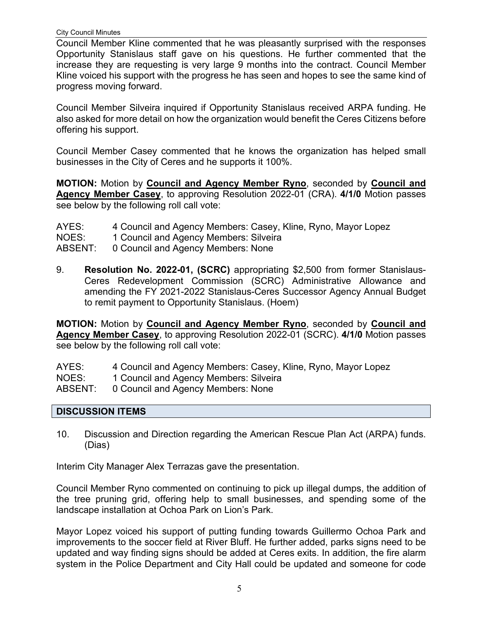City Council Minutes

Council Member Kline commented that he was pleasantly surprised with the responses Opportunity Stanislaus staff gave on his questions. He further commented that the increase they are requesting is very large 9 months into the contract. Council Member Kline voiced his support with the progress he has seen and hopes to see the same kind of progress moving forward.

Council Member Silveira inquired if Opportunity Stanislaus received ARPA funding. He also asked for more detail on how the organization would benefit the Ceres Citizens before offering his support.

Council Member Casey commented that he knows the organization has helped small businesses in the City of Ceres and he supports it 100%.

**MOTION:** Motion by **Council and Agency Member Ryno**, seconded by **Council and Agency Member Casey**, to approving Resolution 2022-01 (CRA). **4/1/0** Motion passes see below by the following roll call vote:

| AYES:   | 4 Council and Agency Members: Casey, Kline, Ryno, Mayor Lopez |
|---------|---------------------------------------------------------------|
| NOES:   | 1 Council and Agency Members: Silveira                        |
| ABSENT: | 0 Council and Agency Members: None                            |

9. **Resolution No. 2022-01, (SCRC)** appropriating \$2,500 from former Stanislaus-Ceres Redevelopment Commission (SCRC) Administrative Allowance and amending the FY 2021-2022 Stanislaus-Ceres Successor Agency Annual Budget to remit payment to Opportunity Stanislaus. (Hoem)

**MOTION:** Motion by **Council and Agency Member Ryno**, seconded by **Council and Agency Member Casey**, to approving Resolution 2022-01 (SCRC). **4/1/0** Motion passes see below by the following roll call vote:

AYES: 4 Council and Agency Members: Casey, Kline, Ryno, Mayor Lopez

NOES: 1 Council and Agency Members: Silveira

ABSENT: 0 Council and Agency Members: None

# **DISCUSSION ITEMS**

10. Discussion and Direction regarding the American Rescue Plan Act (ARPA) funds. (Dias)

Interim City Manager Alex Terrazas gave the presentation.

Council Member Ryno commented on continuing to pick up illegal dumps, the addition of the tree pruning grid, offering help to small businesses, and spending some of the landscape installation at Ochoa Park on Lion's Park.

Mayor Lopez voiced his support of putting funding towards Guillermo Ochoa Park and improvements to the soccer field at River Bluff. He further added, parks signs need to be updated and way finding signs should be added at Ceres exits. In addition, the fire alarm system in the Police Department and City Hall could be updated and someone for code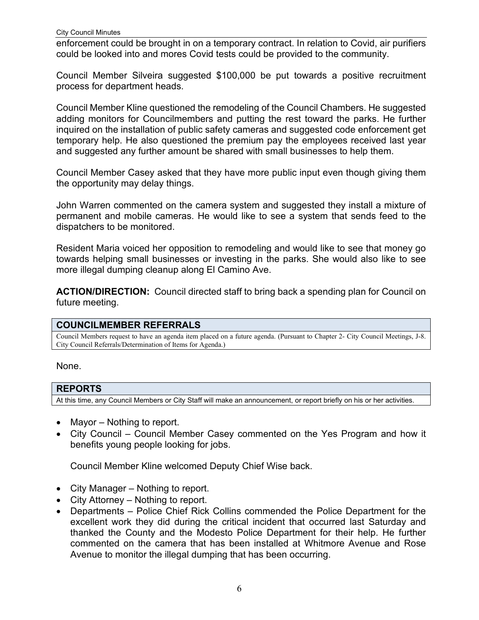enforcement could be brought in on a temporary contract. In relation to Covid, air purifiers could be looked into and mores Covid tests could be provided to the community.

Council Member Silveira suggested \$100,000 be put towards a positive recruitment process for department heads.

Council Member Kline questioned the remodeling of the Council Chambers. He suggested adding monitors for Councilmembers and putting the rest toward the parks. He further inquired on the installation of public safety cameras and suggested code enforcement get temporary help. He also questioned the premium pay the employees received last year and suggested any further amount be shared with small businesses to help them.

Council Member Casey asked that they have more public input even though giving them the opportunity may delay things.

John Warren commented on the camera system and suggested they install a mixture of permanent and mobile cameras. He would like to see a system that sends feed to the dispatchers to be monitored.

Resident Maria voiced her opposition to remodeling and would like to see that money go towards helping small businesses or investing in the parks. She would also like to see more illegal dumping cleanup along El Camino Ave.

**ACTION/DIRECTION:** Council directed staff to bring back a spending plan for Council on future meeting.

# **COUNCILMEMBER REFERRALS**

Council Members request to have an agenda item placed on a future agenda. (Pursuant to Chapter 2- City Council Meetings, J-8. City Council Referrals/Determination of Items for Agenda.)

None.

### **REPORTS**

At this time, any Council Members or City Staff will make an announcement, or report briefly on his or her activities.

- Mayor Nothing to report.
- City Council Council Member Casey commented on the Yes Program and how it benefits young people looking for jobs.

Council Member Kline welcomed Deputy Chief Wise back.

- City Manager Nothing to report.
- City Attorney Nothing to report.
- Departments Police Chief Rick Collins commended the Police Department for the excellent work they did during the critical incident that occurred last Saturday and thanked the County and the Modesto Police Department for their help. He further commented on the camera that has been installed at Whitmore Avenue and Rose Avenue to monitor the illegal dumping that has been occurring.